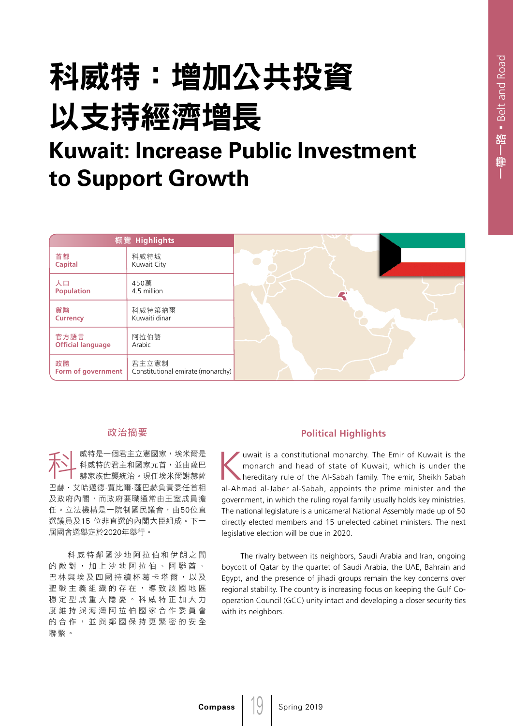## 科威特:增加公共投資 以支持經濟增長 **Kuwait: Increase Public Investment**

### **to Support Growth**

| 概覽 Highlights                    |                                            |                       |
|----------------------------------|--------------------------------------------|-----------------------|
| 首都<br><b>Capital</b>             | 科威特城<br>Kuwait City                        |                       |
| 人口<br><b>Population</b>          | 450萬<br>4.5 million                        | $\blacktriangleright$ |
| 貨幣<br><b>Currency</b>            | 科威特第納爾<br>Kuwaiti dinar                    |                       |
| 官方語言<br><b>Official language</b> | 阿拉伯語<br>Arabic                             |                       |
| 政體<br>Form of government         | 君主立憲制<br>Constitutional emirate (monarchy) |                       |

#### 政治摘要

<del>イ</del>◆ 威特是一個君主立憲國家,埃米爾是<br>◆ 科威特的君主和國家元首,並由薩巴<br>→ 赫家族世襲統治。現任埃米爾謝赫薩 科威特的君主和國家元首,並由薩巴 巴赫‧艾哈邁德·賈比爾·薩巴赫負責委任首相 及政府內閣,而政府要職通常由王室成員擔 任。立法機構是一院制國民議會,由50位直 選議員及15 位非直選的內閣大臣組成。下一 屆國會選舉定於2020年舉行。

科威特鄰國沙地阿拉伯和伊朗之間 的敵對,加上沙地阿拉伯、阿聯酋、 巴林與埃及四國持續杯葛卡塔爾,以及 聖戰主義組織的存在,導致該國地區 穩定型成重大隱憂。科威特正加大力 度維持與海灣阿拉伯國家合作委員會 的合作,並與鄰國保持更緊密的安全 聯繫。

#### **Political Highlights**

I uwait is a constitutional monarchy. The Emir of Kuwait is the<br>monarch and head of state of Kuwait, which is under the<br>hereditary rule of the Al-Sabah family. The emir, Sheikh Sabah<br>al-Ahmad al-Jahor al-Sabah, annoints th monarch and head of state of Kuwait, which is under the hereditary rule of the Al-Sabah family. The emir, Sheikh Sabah al-Ahmad al-Jaber al-Sabah, appoints the prime minister and the government, in which the ruling royal family usually holds key ministries. The national legislature is a unicameral National Assembly made up of 50 directly elected members and 15 unelected cabinet ministers. The next legislative election will be due in 2020.

The rivalry between its neighbors, Saudi Arabia and Iran, ongoing boycott of Qatar by the quartet of Saudi Arabia, the UAE, Bahrain and Egypt, and the presence of jihadi groups remain the key concerns over regional stability. The country is increasing focus on keeping the Gulf Cooperation Council (GCC) unity intact and developing a closer security ties with its neighbors.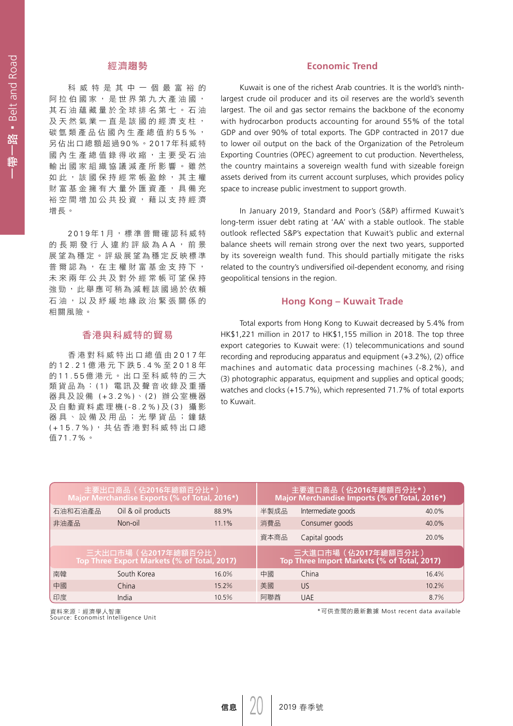# 带一路 • Belt and Road 一帶一路•Belt and Road

#### 經濟趨勢

科威特是其中一個最富裕的 阿拉伯國家,是世界第九大產油國, 其石油蘊藏量於全球排名第七。石油 及天然氣業一直是該國的經濟支柱, 碳氫類產品佔國內生產總值約55%, 另佔出口總額超過90%。2017年科威特 國內生產總值錄得收縮,主要受石油 輸出國家組織協議減產所影響。雖然 如此,該國保持經常帳盈餘,其主權 財富基金擁有大量外匯資產,具備充 裕空間增加公共投資,藉以支持經濟 增長。

2019 年 1 月,標準普爾確認科威特 的長期發行人違約評級為 A A , 前景 展望為穩定。評級展望為穩定反映標準 普爾認為,在主權財富基金支持下, 未來兩年公共及對外經常帳可望保持 強勁,此舉應可稍為減輕該國過於依賴 石油,以及紓緩地緣政治緊張關係的 相關風險。

#### 香港與科威特的貿易

香港對科威特出口總值由 2017 年 的 12.21 億港元下跌 5.4% 至 2018 年 的 11.55 億港元。出口至科威特的三大 類貨品為: (1) 電訊及聲音收錄及重播 器具及設備 (+3.2%) 、 (2) 辦公室機器 及自動資料處理機 (-8.2%) 及 (3) 攝 影 器具、設備及用品;光學貨品;鐘錶 (+15.7%) ,共佔香港對科威特出口總 值71.7%。

#### **Economic Trend**

Kuwait is one of the richest Arab countries. It is the world's ninthlargest crude oil producer and its oil reserves are the world's seventh largest. The oil and gas sector remains the backbone of the economy with hydrocarbon products accounting for around 55% of the total GDP and over 90% of total exports. The GDP contracted in 2017 due to lower oil output on the back of the Organization of the Petroleum Exporting Countries (OPEC) agreement to cut production. Nevertheless, the country maintains a sovereign wealth fund with sizeable foreign assets derived from its current account surpluses, which provides policy space to increase public investment to support growth.

In January 2019, Standard and Poor's (S&P) affirmed Kuwait's long-term issuer debt rating at 'AA' with a stable outlook. The stable outlook reflected S&P's expectation that Kuwait's public and external balance sheets will remain strong over the next two years, supported by its sovereign wealth fund. This should partially mitigate the risks related to the country's undiversified oil-dependent economy, and rising geopolitical tensions in the region.

#### **Hong Kong – Kuwait Trade**

Total exports from Hong Kong to Kuwait decreased by 5.4% from HK\$1,221 million in 2017 to HK\$1,155 million in 2018. The top three export categories to Kuwait were: (1) telecommunications and sound recording and reproducing apparatus and equipment (+3.2%), (2) office machines and automatic data processing machines (-8.2%), and (3) photographic apparatus, equipment and supplies and optical goods; watches and clocks (+15.7%), which represented 71.7% of total exports to Kuwait.

| 主要出口商品 (佔2016年總額百分比*)<br>Major Merchandise Exports (% of Total, 2016*) |                               |       |                                                                     | 主要進口商品 (佔2016年總額百分比*)<br>Major Merchandise Imports (% of Total, 2016*) |       |  |  |
|------------------------------------------------------------------------|-------------------------------|-------|---------------------------------------------------------------------|------------------------------------------------------------------------|-------|--|--|
|                                                                        | 石油和石油產品<br>Oil & oil products | 88.9% | 半製成品                                                                | Intermediate goods                                                     | 40.0% |  |  |
| 非油產品                                                                   | Non-oil                       | 11.1% | 消費品                                                                 | Consumer goods                                                         | 40.0% |  |  |
|                                                                        |                               |       | 資本商品                                                                | Capital goods                                                          | 20.0% |  |  |
| 三大出口市場 (佔2017年總額百分比)<br>Top Three Export Markets (% of Total, 2017)    |                               |       | 三大進口市場 (佔2017年總額百分比)<br>Top Three Import Markets (% of Total, 2017) |                                                                        |       |  |  |
| 南韓                                                                     | South Korea                   | 16.0% | 中國                                                                  | China                                                                  | 16.4% |  |  |
| 中國                                                                     | China                         | 15.2% | 美國                                                                  | US.                                                                    | 10.2% |  |  |
| 印度                                                                     | India                         | 10.5% | 阿聯酋                                                                 | <b>UAE</b>                                                             | 8.7%  |  |  |

資料來源:經濟學人智庫<br>Source: Economist Intelligence Unit

\*可供查閱的最新數據 Most recent data available